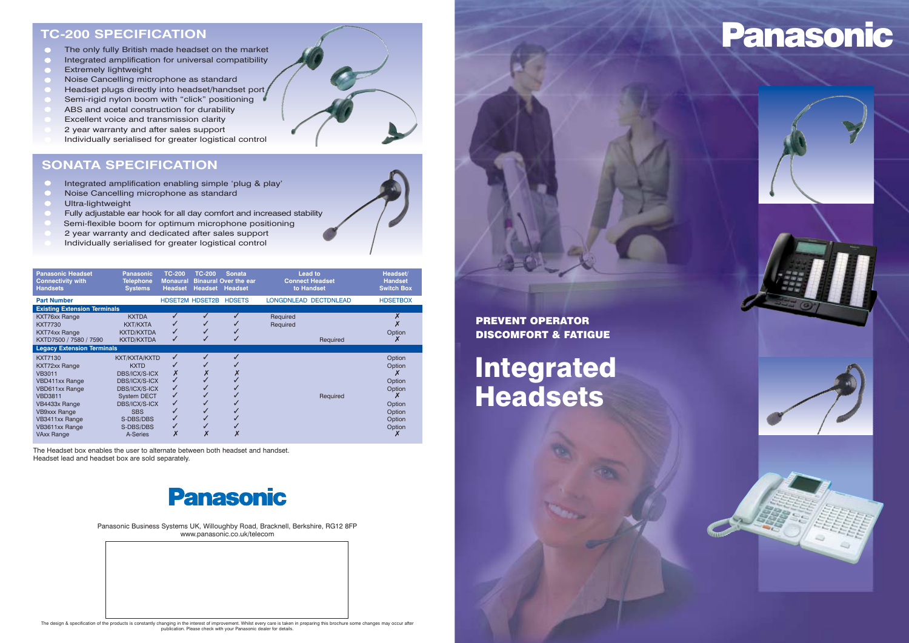#### **TC-200 SPECIFICATION**

- The only fully British made headset on the market  $\bullet$
- Integrated amplification for universal compatibility
- Extremely lightweight
- Noise Cancelling microphone as standard
- Headset plugs directly into headset/handset port
- Semi-rigid nylon boom with "click" positioning
- ABS and acetal construction for durability
- Excellent voice and transmission clarity
- 2 year warranty and after sales support
- Individually serialised for greater logistical control

#### **SONATA SPECIFICATION**

- Integrated amplification enabling simple 'plug & play'  $\bullet$
- Noise Cancelling microphone as standard
- Ultra-lightweight
- Fully adjustable ear hook for all day comfort and increased stability
- Semi-flexible boom for optimum microphone positioning
- 2 year warranty and dedicated after sales support
- Individually serialised for greater logistical control

The Headset box enables the user to alternate between both headset and handset. Headset lead and headset box are sold separately.



Panasonic Business Systems UK, Willoughby Road, Bracknell, Berkshire, RG12 8FP www.panasonic.co.uk/telecom



# Panasonic



#### PREVENT OPERATOR DISCOMFORT & FATIGUE

## Integrated Headsets



The design & specification of the products is constantly changing in the interest of improvement. Whilst every care is taken in preparing this brochure some changes may occur after<br>publication. Please check with your Panas

| <b>Panasonic Headset</b><br><b>Connectivity with</b><br><b>Handsets</b>                                                                                                                                 | Panasonic<br><b>Telephone</b><br><b>Systems</b>                                                                                                                                          | <b>TC-200</b><br><b>Monaural</b><br><b>Headset</b> | <b>TC-200</b><br><b>Headset</b> | <b>Sonata</b><br><b>Binaural Over the ear</b><br>Headset | <b>Lead to</b><br><b>Connect Headset</b><br>to Handset |          | Headset/<br><b>Handset</b><br><b>Switch Box</b>                              |
|---------------------------------------------------------------------------------------------------------------------------------------------------------------------------------------------------------|------------------------------------------------------------------------------------------------------------------------------------------------------------------------------------------|----------------------------------------------------|---------------------------------|----------------------------------------------------------|--------------------------------------------------------|----------|------------------------------------------------------------------------------|
| <b>Part Number</b>                                                                                                                                                                                      |                                                                                                                                                                                          | <b>HDSET2M HDSET2B</b>                             |                                 | <b>HDSETS</b>                                            | LONGDNLEAD DECTDNLEAD                                  |          | <b>HDSETBOX</b>                                                              |
| <b>Existing Extension Terminals</b>                                                                                                                                                                     |                                                                                                                                                                                          |                                                    |                                 |                                                          |                                                        |          |                                                                              |
| KXT76xx Range<br>KXT7730<br>KXT74xx Range<br>KXTD7500 / 7580 / 7590                                                                                                                                     | <b>KXTDA</b><br><b>KXT/KXTA</b><br><b>KXTD/KXTDA</b><br><b>KXTD/KXTDA</b>                                                                                                                |                                                    |                                 |                                                          | Required<br>Required                                   | Required | Option                                                                       |
| <b>Legacy Extension Terminals</b>                                                                                                                                                                       |                                                                                                                                                                                          |                                                    |                                 |                                                          |                                                        |          |                                                                              |
| <b>KXT7130</b><br>KXT72xx Range<br>VB3011<br><b>VBD411xx Range</b><br>VBD611xx Range<br><b>VBD3811</b><br>VB4433x Range<br><b>VB9xxx Range</b><br>VB3411xx Range<br>VB3611xx Range<br><b>VAxx Range</b> | KXT/KXTA/KXTD<br><b>KXTD</b><br><b>DBS/ICX/S-ICX</b><br><b>DBS/ICX/S-ICX</b><br>DBS/ICX/S-ICX<br><b>System DECT</b><br>DBS/ICX/S-ICX<br><b>SBS</b><br>S-DBS/DBS<br>S-DBS/DBS<br>A-Series | ✔                                                  |                                 |                                                          |                                                        | Required | Option<br>Option<br>Option<br>Option<br>Option<br>Option<br>Option<br>Option |